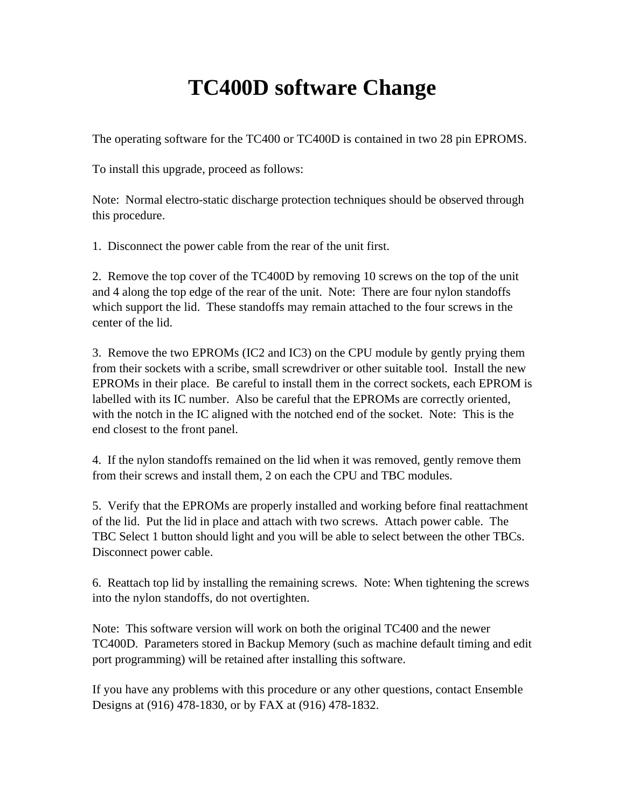## **TC400D software Change**

The operating software for the TC400 or TC400D is contained in two 28 pin EPROMS.

To install this upgrade, proceed as follows:

Note: Normal electro-static discharge protection techniques should be observed through this procedure.

1. Disconnect the power cable from the rear of the unit first.

2. Remove the top cover of the TC400D by removing 10 screws on the top of the unit and 4 along the top edge of the rear of the unit. Note: There are four nylon standoffs which support the lid. These standoffs may remain attached to the four screws in the center of the lid.

3. Remove the two EPROMs (IC2 and IC3) on the CPU module by gently prying them from their sockets with a scribe, small screwdriver or other suitable tool. Install the new EPROMs in their place. Be careful to install them in the correct sockets, each EPROM is labelled with its IC number. Also be careful that the EPROMs are correctly oriented, with the notch in the IC aligned with the notched end of the socket. Note: This is the end closest to the front panel.

4. If the nylon standoffs remained on the lid when it was removed, gently remove them from their screws and install them, 2 on each the CPU and TBC modules.

5. Verify that the EPROMs are properly installed and working before final reattachment of the lid. Put the lid in place and attach with two screws. Attach power cable. The TBC Select 1 button should light and you will be able to select between the other TBCs. Disconnect power cable.

6. Reattach top lid by installing the remaining screws. Note: When tightening the screws into the nylon standoffs, do not overtighten.

Note: This software version will work on both the original TC400 and the newer TC400D. Parameters stored in Backup Memory (such as machine default timing and edit port programming) will be retained after installing this software.

If you have any problems with this procedure or any other questions, contact Ensemble Designs at (916) 478-1830, or by FAX at (916) 478-1832.